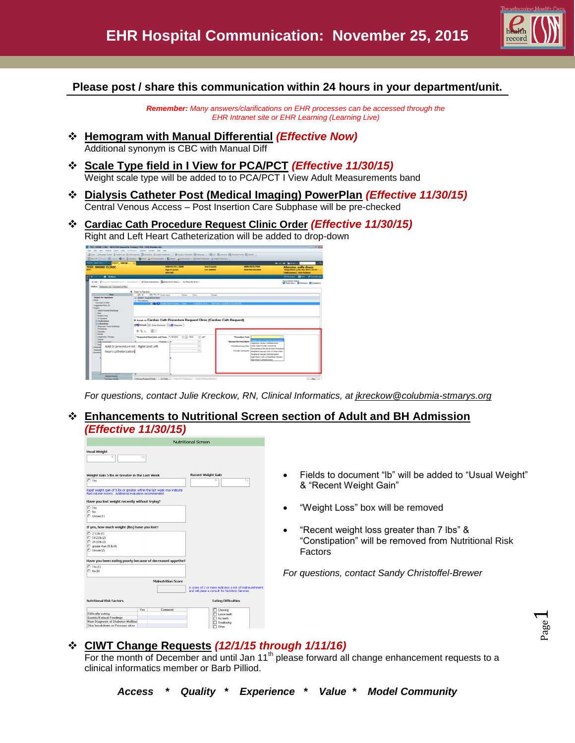

Page  $\overline{\phantom{0}}$ 

## **Please post / share this communication within 24 hours in your department/unit.**

*Remember: Many answers/clarifications on EHR processes can be accessed through the EHR Intranet site or EHR Learning (Learning Live)*

- **Hemogram with Manual Differential** *(Effective Now)* Additional synonym is CBC with Manual Diff
- **Scale Type field in I View for PCA/PCT** *(Effective 11/30/15)* Weight scale type will be added to to PCA/PCT I View Adult Measurements band
- **Dialysis Catheter Post (Medical Imaging) PowerPlan** *(Effective 11/30/15)* Central Venous Access – Post Insertion Care Subphase will be pre-checked
- **Cardiac Cath Procedure Request Clinic Order** *(Effective 11/30/15)* Right and Left Heart Catheterization will be added to drop-down

| EST, INT AT. T TEST, SMOK<br><b>TEST, SMOKE CLINIC</b>                                                                                                                                            | DOB:01/01/2009<br>Age:6 years<br><b>Adv bir:</b>                                                                                          | <b>Sea Female</b><br><b>Loc:APORT</b>  | 1003-98767999<br>Fin#:987697869                                                                                                                                                                              | <b>Ar Litt of Callege - Company</b><br><b>Allergies: sulfa drugs</b><br>Outputient [10/16/2015 16:45 -<br><b>CSMConnect: Ank Patient</b> |
|---------------------------------------------------------------------------------------------------------------------------------------------------------------------------------------------------|-------------------------------------------------------------------------------------------------------------------------------------------|----------------------------------------|--------------------------------------------------------------------------------------------------------------------------------------------------------------------------------------------------------------|------------------------------------------------------------------------------------------------------------------------------------------|
| $\cdots$ $A$ Orders                                                                                                                                                                               |                                                                                                                                           |                                        |                                                                                                                                                                                                              | Eldiose Blvt Streamp                                                                                                                     |
| Orders : Hedgatencat   Deparent In Ran                                                                                                                                                            | 4 AM   Possent Holzman Lynx   Anteriorism +   A Dedi Interactions   Deterministant Holzmy +   Ra Rans (2) Strat +                         |                                        |                                                                                                                                                                                                              | <b>Iterandiation Status</b><br>O Neth Hebry O Adresser O Culpetient                                                                      |
| <b>View</b>                                                                                                                                                                                       | <b>H</b> Cadeo he Signature<br>$\overline{A}$<br>$(\widetilde{\Phi})$ $\widetilde{\Theta}$ $\Psi$ looks have<br>Status                    | <b>Start</b><br>Debile                 |                                                                                                                                                                                                              |                                                                                                                                          |
| Supported Plans (2)<br>Odes<br>Abid Transfer Clarkway<br>Det.<br><b>Patient Care</b><br>TV Tokytere<br>: Hedications<br><b>Laboratory</b><br>Dagnostic Tests/ Radislegy<br>Procedures<br>Consulto | The Databa iss Cardiac Cath Procedure Request Clinic (Cardiac Cath Request)<br><b>CO</b> Details   Other Connects   D.O Dagroom<br>中国长 副日 |                                        |                                                                                                                                                                                                              |                                                                                                                                          |
| <b>Bellon</b><br><b>Register Theast</b><br><b>Steelof</b>                                                                                                                                         | *Requested Start date and Time: 11/15/2015 2014 1512                                                                                      | 20                                     | *Fouraghers Tash<br><b>Call of Pond</b>                                                                                                                                                                      |                                                                                                                                          |
| <b>Tellica</b><br><b>Take</b><br>Nedicals<br>Medicati<br>heart catheterzation<br><b>Record</b>                                                                                                    | $-4$<br>Add to procedure list : Right and Left                                                                                            | $\blacksquare$<br>$\overline{ }$<br>w. | "Reason for Procedure:<br>Sweeps Carlier Calvelerador<br>Pchylenel Dauftne: Other Das Provider Commental<br>Provider Connectiti: Respiece Vasculer Cath. +1-Pass Interv<br>Perisheral townster Catherinetern | <b>Instances Student Hert Ponday</b><br>Robt Heart Cath w/Useraliator Schauer                                                            |

*For questions, contact Julie Kreckow, RN, Clinical Informatics, at jkreckow@colubmia-stmarys.org*

 **Enhancements to Nutritional Screen section of Adult and BH Admission**  *(Effective 11/30/15)*

| <b>Nutritional Screen</b>                                                                                                                                                                                                      |                                                                                                                           |
|--------------------------------------------------------------------------------------------------------------------------------------------------------------------------------------------------------------------------------|---------------------------------------------------------------------------------------------------------------------------|
| <b>Usual Weight</b><br>kg                                                                                                                                                                                                      |                                                                                                                           |
| <b>Recent Weight Gain</b><br>Weight Gain 5 lbs or Greater in the Last Week<br>O Yes<br>kg<br>Rapid weight gain of 5 lbs or greater within the last week may indicate<br>fluid volume excess. Additional evaluation recommended | Fields to document "Ib" will be added to "Usual Weight"<br>$\bullet$<br>& "Recent Weight Gain"                            |
| Have you lost weight recently without trying?<br>O Yes<br>O No<br>C Unsure (1)                                                                                                                                                 | "Weight Loss" box will be removed<br>$\bullet$                                                                            |
| If yes, how much weight (lbs) have you lost?<br>$O$ 2-13 b (1)<br>$O$ 14-23 b (2)<br>$O$ 24-33 b (3)<br>C greater than 33 lb (4)<br>$O$ Unsure (2)                                                                             | "Recent weight loss greater than 7 lbs" &<br>$\bullet$<br>"Constipation" will be removed from Nutritional Risk<br>Factors |
| Have you been eating poorly because of decreased appetite?                                                                                                                                                                     |                                                                                                                           |
| $O$ Yes (1)<br>$\bigcap$ No (0)                                                                                                                                                                                                | For questions, contact Sandy Christoffel-Brewer                                                                           |
| <b>Malnutrition Score</b><br>A score of 2 or more indicates a risk of mahourishment<br>and will place a consult for Nutrition Services                                                                                         |                                                                                                                           |
| <b>Nutritional Risk Factors</b><br><b>Eating Difficulties</b>                                                                                                                                                                  |                                                                                                                           |
| □ Chewing<br>Yes<br>Comment<br>Difficulty eating<br>Loose teeth<br><b>Gastric/Enteral Feedings</b><br>No teeth<br><b>New Diagnosis of Diabetes Mellitus</b><br>Swalowing<br>Skin breakdown or Pressure ulcer<br>ITI Other:     |                                                                                                                           |

## **CIWT Change Requests** *(12/1/15 through 1/11/16)*

For the month of December and until Jan 11<sup>th</sup> please forward all change enhancement requests to a clinical informatics member or Barb Pilliod.

*Access \* Quality \* Experience \* Value \* Model Community*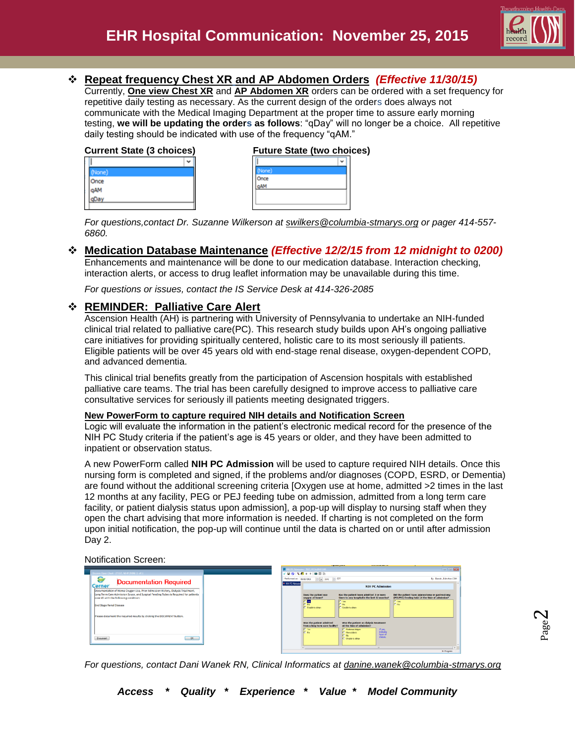

Page  $\boldsymbol{\sim}$ 

## **Repeat frequency Chest XR and AP Abdomen Orders** *(Effective 11/30/15)*

Currently, **One view Chest XR** and **AP Abdomen XR** orders can be ordered with a set frequency for repetitive daily testing as necessary. As the current design of the orders does always not communicate with the Medical Imaging Department at the proper time to assure early morning testing, **we will be updating the orders as follows**: "qDay" will no longer be a choice. All repetitive daily testing should be indicated with use of the frequency "qAM."

| <b>Current State (3 choices)</b> |  |  |
|----------------------------------|--|--|
|                                  |  |  |
|                                  |  |  |
|                                  |  |  |
|                                  |  |  |
|                                  |  |  |
|                                  |  |  |

| <b>Current State (3 choices)</b> |  | <b>Future State (two choices)</b> |
|----------------------------------|--|-----------------------------------|
|                                  |  | w                                 |
|                                  |  |                                   |
|                                  |  |                                   |
|                                  |  |                                   |
|                                  |  |                                   |
|                                  |  |                                   |

*For questions,contact Dr. Suzanne Wilkerson at [swilkers@columbia-stmarys.org](mailto:swilkers@columbia-stmarys.org) or pager 414-557- 6860.*

## **Medication Database Maintenance** *(Effective 12/2/15 from 12 midnight to 0200)*

Enhancements and maintenance will be done to our medication database. Interaction checking, interaction alerts, or access to drug leaflet information may be unavailable during this time.

*For questions or issues, contact the IS Service Desk at 414-326-2085*

### **REMINDER: Palliative Care Alert**

Ascension Health (AH) is partnering with University of Pennsylvania to undertake an NIH-funded clinical trial related to palliative care(PC). This research study builds upon AH's ongoing palliative care initiatives for providing spiritually centered, holistic care to its most seriously ill patients. Eligible patients will be over 45 years old with end-stage renal disease, oxygen-dependent COPD, and advanced dementia.

This clinical trial benefits greatly from the participation of Ascension hospitals with established palliative care teams. The trial has been carefully designed to improve access to palliative care consultative services for seriously ill patients meeting designated triggers.

#### **New PowerForm to capture required NIH details and Notification Screen**

Logic will evaluate the information in the patient's electronic medical record for the presence of the NIH PC Study criteria if the patient's age is 45 years or older, and they have been admitted to inpatient or observation status.

A new PowerForm called **NIH PC Admission** will be used to capture required NIH details. Once this nursing form is completed and signed, if the problems and/or diagnoses (COPD, ESRD, or Dementia) are found without the additional screening criteria [Oxygen use at home, admitted >2 times in the last 12 months at any facility, PEG or PEJ feeding tube on admission, admitted from a long term care facility, or patient dialysis status upon admission], a pop-up will display to nursing staff when they open the chart advising that more information is needed. If charting is not completed on the form upon initial notification, the pop-up will continue until the data is charted on or until after admission Day 2.

Notification Screen:

*For questions, contact Dani Wanek RN, Clinical Informatics at danine.wanek@columbia-stmarys.org*

*Access \* Quality \* Experience \* Value \* Model Community*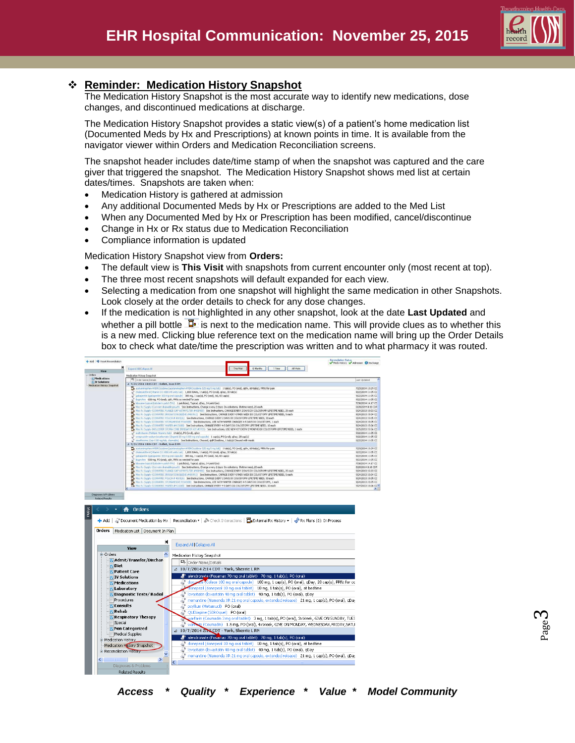

# **Reminder: Medication History Snapshot**

The Medication History Snapshot is the most accurate way to identify new medications, dose changes, and discontinued medications at discharge.

The Medication History Snapshot provides a static view(s) of a patient's home medication list (Documented Meds by Hx and Prescriptions) at known points in time. It is available from the navigator viewer within Orders and Medication Reconciliation screens.

The snapshot header includes date/time stamp of when the snapshot was captured and the care giver that triggered the snapshot. The Medication History Snapshot shows med list at certain dates/times. Snapshots are taken when:

- Medication History is gathered at admission
- Any additional Documented Meds by Hx or Prescriptions are added to the Med List
- When any Documented Med by Hx or Prescription has been modified, cancel/discontinue
- Change in Hx or Rx status due to Medication Reconciliation
- Compliance information is updated

Medication History Snapshot view from **Orders:**

- The default view is **This Visit** with snapshots from current encounter only (most recent at top).
- The three most recent snapshots will default expanded for each view.
- Selecting a medication from one snapshot will highlight the same medication in other Snapshots. Look closely at the order details to check for any dose changes.
- If the medication is not highlighted in any other snapshot, look at the date **Last Updated** and whether a pill bottle  $\overline{\mathbb{I}^{\bullet}}$  is next to the medication name. This will provide clues as to whether this is a new med. Clicking blue reference text on the medication name will bring up the Order Details box to check what date/time the prescription was written and to what pharmacy it was routed.



Page ო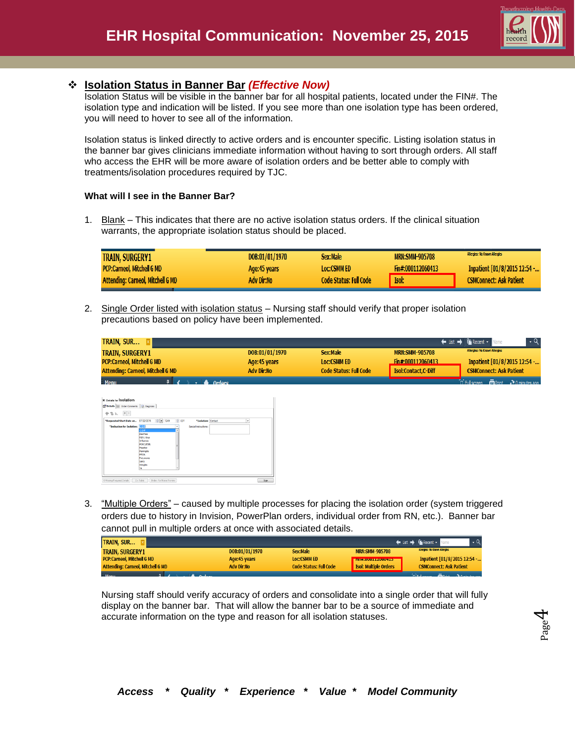

## **Isolation Status in Banner Bar** *(Effective Now)*

Isolation Status will be visible in the banner bar for all hospital patients, located under the FIN#. The isolation type and indication will be listed. If you see more than one isolation type has been ordered, you will need to hover to see all of the information.

Isolation status is linked directly to active orders and is encounter specific. Listing isolation status in the banner bar gives clinicians immediate information without having to sort through orders. All staff who access the EHR will be more aware of isolation orders and be better able to comply with treatments/isolation procedures required by TJC.

#### **What will I see in the Banner Bar?**

1. Blank – This indicates that there are no active isolation status orders. If the clinical situation warrants, the appropriate isolation status should be placed.

| <b>TRAIN, SURGERY1</b>                   | DOB:01/01/1970 | Sex:Male                      | <b>MRN:SMM-905708</b> | Allergies: No Known Allergies  |
|------------------------------------------|----------------|-------------------------------|-----------------------|--------------------------------|
| <b>PCP:Carneol. Mitchell G MD</b>        | Age:45 years   | <b>Loc:CSMM ED</b>            | Fin#:000112060413     | Inpatient [01/8/2015 12:54 -   |
| <b>Attending: Carneol, Mitchell G MD</b> | Adv Dir:No     | <b>Code Status: Full Code</b> | <b>Isol:</b>          | <b>CSMConnect: Ask Patient</b> |

2. Single Order listed with isolation status – Nursing staff should verify that proper isolation precautions based on policy have been implemented.

| <b>TRAIN, SUR XI</b>                     |                   |                               |                       | List → Fin Recent v Name                             |
|------------------------------------------|-------------------|-------------------------------|-----------------------|------------------------------------------------------|
| <b>TRAIN, SURGERY1</b>                   | DOB:01/01/1970    | Sex:Male                      | <b>MRN:SMM-905708</b> | <b>Allergies: No Known Allergies</b>                 |
| <b>PCP:Carneol. Mitchell G MD</b>        | Age: 45 years     | <b>Loc:CSMM ED</b>            | Fin#:000112060413     | Inpatient [01/8/2015 12:54 -                         |
| <b>Attending: Carneol, Mitchell G MD</b> | <b>Adv Dir:No</b> | <b>Code Status: Full Code</b> | Isol:Contact.C-Diff   | <b>CSMConnect: Ask Patient</b>                       |
| <b>Menu</b><br>A Ordore                  |                   |                               |                       | $\Box$ Full screen $\Box$ Print $\Box$ 0 minutes and |

| <b>z</b> Details for <b>Solation</b><br>Details (11) Order Comments   Diagnosis |                                                                                                                                         |          |                       |      |
|---------------------------------------------------------------------------------|-----------------------------------------------------------------------------------------------------------------------------------------|----------|-----------------------|------|
| 中雪瓦 国际                                                                          |                                                                                                                                         |          |                       |      |
| "Requested Start Date an                                                        | $-1249$<br>07/22/2015                                                                                                                   | e<br>CDT | "Isolation: Contact   | ٠    |
| *Indication for Isolation: ESTI                                                 | c-off<br>Diarrhea<br>HIN1 Virus<br>Influenza<br>MDRO/ESBL<br>Measles<br>Meningitis<br>MRSA<br>Pneumonia<br><b>SARS</b><br>Shingles<br>m | ٧<br>٠   | Special instructions: |      |
| O Mission Required Datable   Div Table   Orders For Nurse Review                |                                                                                                                                         |          |                       | Sinn |

3. "Multiple Orders" – caused by multiple processes for placing the isolation order (system triggered orders due to history in Invision, PowerPlan orders, individual order from RN, etc.). Banner bar cannot pull in multiple orders at once with associated details.

| <b>TRAIN, SUR</b>                        |                |                               |                                | ← List → <del>Mi</del> Recent + N |
|------------------------------------------|----------------|-------------------------------|--------------------------------|-----------------------------------|
| <b>TRAIN, SURGERY1</b>                   | DOB:01/01/1970 | Sex:Male                      | <b>MRN:SMM-905708</b>          | Allergies: No Known Allergies     |
| <b>PCP:Carneol, Mitchell G MD</b>        | Age: 45 years  | <b>Loc:CSMM ED</b>            | <b>MEDICINAL ALLE REPORTED</b> | Inpatient [01/8/2015 12:54 -      |
| <b>Attending: Carneol, Mitchell G MD</b> | Adv Dir:No     | <b>Code Status: Full Code</b> | <b>Isol: Multiple Orders</b>   | <b>CSMConnect: Ask Patient</b>    |
| <b>The Manager</b>                       |                |                               |                                |                                   |

Nursing staff should verify accuracy of orders and consolidate into a single order that will fully display on the banner bar. That will allow the banner bar to be a source of immediate and accurate information on the type and reason for all isolation statuses.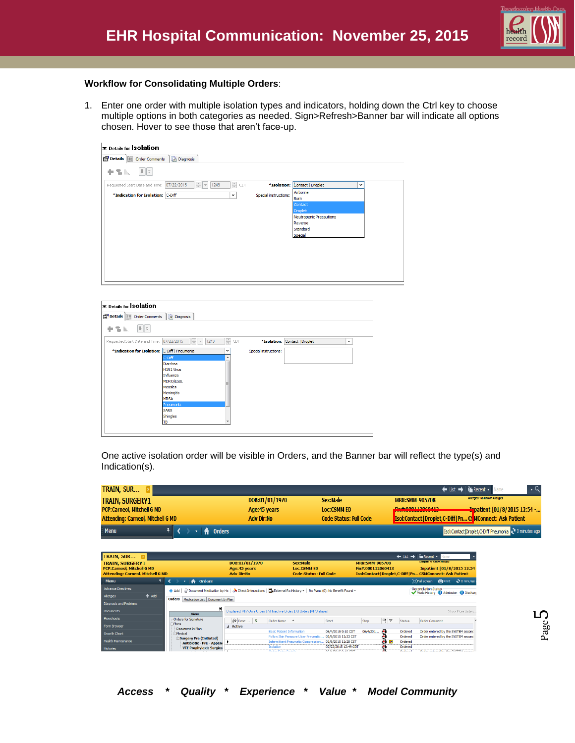

#### **Workflow for Consolidating Multiple Orders**:

1. Enter one order with multiple isolation types and indicators, holding down the Ctrl key to choose multiple options in both categories as needed. Sign>Refresh>Banner bar will indicate all options chosen. Hover to see those that aren't face-up.

| <b>E</b> Details for <b>Solation</b>                                                              |                                               |  |
|---------------------------------------------------------------------------------------------------|-----------------------------------------------|--|
| Details   Order Comments   a Diagnosis                                                            |                                               |  |
| $   \cdot   $<br>十名瓜                                                                              |                                               |  |
| $\frac{A}{v}$<br>$\frac{1}{\sqrt{2}}$<br>Requested Start Date and Time: 07/22/2015<br>1249<br>CDT | *Isolation: Contact   Droplet<br>$\checkmark$ |  |
| *Indication for Isolation: C-Diff<br>$\checkmark$                                                 | Airborne<br>Special instructions:<br>Burn     |  |
|                                                                                                   | Contact<br>Droplet                            |  |
|                                                                                                   | Neutropenic Precautions                       |  |
|                                                                                                   | Reverse<br>Standard                           |  |
|                                                                                                   | Special                                       |  |
|                                                                                                   |                                               |  |
|                                                                                                   |                                               |  |
|                                                                                                   |                                               |  |
|                                                                                                   |                                               |  |
|                                                                                                   |                                               |  |

| Details   Order Comments   @ Diagnosis        |                                              |                       |                               |              |
|-----------------------------------------------|----------------------------------------------|-----------------------|-------------------------------|--------------|
| $  \cdot   \times$<br>十名區                     |                                              |                       |                               |              |
| 07/22/2015<br>Requested Start Date and Time:  | $\frac{1}{x}$<br>÷<br>1249<br>$\vert \nabla$ | CDT                   | *Isolation: Contact   Droplet | $\checkmark$ |
| *Indication for Isolation: C-Diff   Pneumonia | $\checkmark$                                 | Special instructions: |                               |              |
| C-Diff                                        | ▲                                            |                       |                               |              |
| Diarrhea                                      |                                              |                       |                               |              |
| <b>H1N1 Virus</b>                             |                                              |                       |                               |              |
| Influenza                                     |                                              |                       |                               |              |
| <b>MDRO/ESBL</b>                              |                                              |                       |                               |              |
| <b>Measles</b>                                |                                              |                       |                               |              |
| Meningitis                                    |                                              |                       |                               |              |
| <b>MRSA</b>                                   |                                              |                       |                               |              |
| Pneumonia                                     |                                              |                       |                               |              |
| <b>SARS</b>                                   |                                              |                       |                               |              |
| Shingles                                      |                                              |                       |                               |              |
| TB                                            |                                              |                       |                               |              |

One active isolation order will be visible in Orders, and the Banner bar will reflect the type(s) and Indication(s).

| TRAIN, SUR                               |                |                               | ← List → <del>Fix</del> Recent v                                    |
|------------------------------------------|----------------|-------------------------------|---------------------------------------------------------------------|
| <b>TRAIN, SURGERY1</b>                   | DOB:01/01/1970 | Sex:Male                      | <b>Allergies: No Known Allergies</b><br><b>MRN:SMM-905708</b>       |
| <b>PCP:Carneol, Mitchell G MD</b>        | Age: 45 years  | <b>Loc:CSMM ED</b>            | Ein#-000112060412<br><b>Inpatient [01/8/2015 12:54 -</b>            |
| <b>Attending: Carneol, Mitchell G MD</b> | Adv Dir:No     | <b>Code Status: Full Code</b> | <b>Isol:Contact   Droplet, C-Diff   Pn C. MConnect: Ask Patient</b> |
| <b>Menu</b><br><del>n</del> Orders       |                |                               | Isol:Contact Droplet,C-Diff Pneumonia 2 0 minutes ago               |

| TRAIN, SUR E<br><b>TRAIN, SURGERY1</b><br><b>PCP:Carneol. Mitchell G MD</b><br><b>Attending: Carneol, Mitchell G MD</b> | DOB:01/01/1970<br>Age:45 years<br><b>Adv Dir:No</b>                                                                     |                   | Sex:Male<br><b>LOC:CSMM ED</b><br><b>Code Status: Full Code</b> |                                      | $\leftarrow$ List $\rightarrow$<br><b>MRN:SMM-905708</b><br>Fin#:000112060413 |          |        | <b>Execent</b> -<br>Name<br><b>Allergies: No Known Allergies</b><br>Inpatient [01/8/2015 12:54<br>Isol:Contact   Droplet, C-Diff   Pn CSMConnect: Ask Patient |                                            |                  |
|-------------------------------------------------------------------------------------------------------------------------|-------------------------------------------------------------------------------------------------------------------------|-------------------|-----------------------------------------------------------------|--------------------------------------|-------------------------------------------------------------------------------|----------|--------|---------------------------------------------------------------------------------------------------------------------------------------------------------------|--------------------------------------------|------------------|
| <b>Menu</b>                                                                                                             | <b>Orders</b><br>₩                                                                                                      |                   |                                                                 |                                      |                                                                               |          |        |                                                                                                                                                               | D Full screen<br><b>E</b> Print            | $\sim 0$ minutes |
| <b>Advance Directives</b>                                                                                               | + Add   √ Pocument Medication by Hx   √ Check Interactions   □ External Rx History -   Rx Plans (0): No Benefit Found + |                   |                                                                 |                                      |                                                                               |          |        |                                                                                                                                                               | <b>Reconcilation Status</b>                |                  |
| $#$ Add<br>Allergies                                                                                                    | Orders Medication List Document In Plan                                                                                 |                   |                                                                 |                                      |                                                                               |          |        |                                                                                                                                                               | Meds History <b>@</b> Admission @ Dischard |                  |
| Diagnosis and Problems                                                                                                  |                                                                                                                         |                   |                                                                 |                                      |                                                                               |          |        |                                                                                                                                                               |                                            |                  |
| <b>Documents</b>                                                                                                        | и<br>Displayed: All Active Orders   All Inactive Orders   All Orders   All Statuses]<br>Show More Orders<br><b>View</b> |                   |                                                                 |                                      |                                                                               |          |        |                                                                                                                                                               |                                            |                  |
| Flowsheets                                                                                                              | Orders for Signature                                                                                                    | $\infty$ Dose  \$ | Order Name 4                                                    |                                      | Start                                                                         | Stop     | 鸟<br>Ÿ | Status                                                                                                                                                        | Order Comment                              |                  |
| Form Browser                                                                                                            | -Plans<br>Document In Plan                                                                                              | 4 Active          |                                                                 |                                      |                                                                               |          |        |                                                                                                                                                               |                                            |                  |
| <b>Growth Chart</b>                                                                                                     | - Medical                                                                                                               |                   |                                                                 | <b>Basic Patient Information</b>     | 06/4/2015 9:10 CDT                                                            | 06/4/201 | A      | Ordered                                                                                                                                                       | Order entered by the SYSTEM second         |                  |
| <b>Health Maintenance</b>                                                                                               | Surgery Pre (Initiated)                                                                                                 |                   |                                                                 | Follow Skin Pressure Ulcer Preventio | 01/9/2015 11:33 CST                                                           |          |        | Ordered                                                                                                                                                       | Order entered by the SYSTEM second         |                  |
|                                                                                                                         | <b>Antibiotic - Pre - Append</b>                                                                                        |                   |                                                                 |                                      | Intermittent Pneumatic Compression 01/9/2015 11:28 CST                        |          | ٠<br>쳐 | Ordered                                                                                                                                                       |                                            |                  |
| <b>Histories</b>                                                                                                        | VTE Prophylaxis Surgica                                                                                                 |                   | Tenlation<br>Order PatriciPetede                                |                                      | 07/22/2015 12:49 CDT<br>or laton in our com-                                  |          | G.     | Ordered<br>المستقبلات                                                                                                                                         | Order assessed by the common course        |                  |